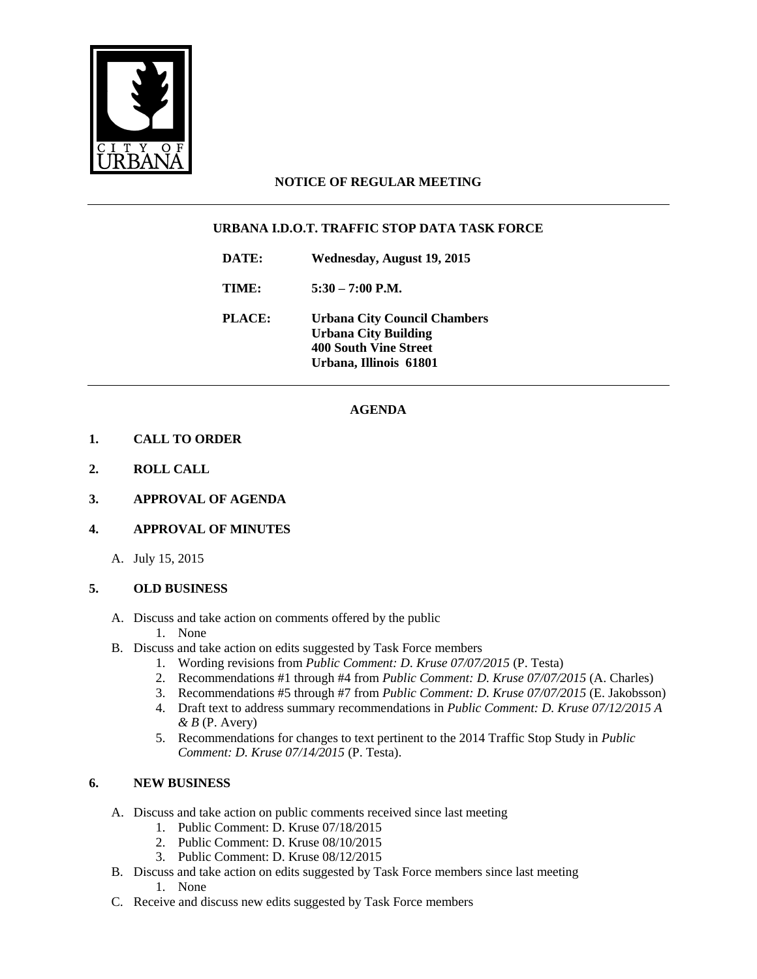

## **NOTICE OF REGULAR MEETING**

## **URBANA I.D.O.T. TRAFFIC STOP DATA TASK FORCE**

**DATE: Wednesday, August 19, 2015**

**TIME: 5:30 – 7:00 P.M.**

**PLACE: Urbana City Council Chambers Urbana City Building 400 South Vine Street Urbana, Illinois 61801**

### **AGENDA**

#### **1. CALL TO ORDER**

- **2. ROLL CALL**
- **3. APPROVAL OF AGENDA**

#### **4. APPROVAL OF MINUTES**

A. July 15, 2015

#### **5. OLD BUSINESS**

A. Discuss and take action on comments offered by the public

#### 1. None

- B. Discuss and take action on edits suggested by Task Force members
	- 1. Wording revisions from *Public Comment: D. Kruse 07/07/2015* (P. Testa)
	- 2. Recommendations #1 through #4 from *Public Comment: D. Kruse 07/07/2015* (A. Charles)
	- 3. Recommendations #5 through #7 from *Public Comment: D. Kruse 07/07/2015* (E. Jakobsson)
	- 4. Draft text to address summary recommendations in *Public Comment: D. Kruse 07/12/2015 A & B* (P. Avery)
	- 5. Recommendations for changes to text pertinent to the 2014 Traffic Stop Study in *Public Comment: D. Kruse 07/14/2015* (P. Testa).

#### **6. NEW BUSINESS**

- A. Discuss and take action on public comments received since last meeting
	- 1. Public Comment: D. Kruse 07/18/2015
	- 2. Public Comment: D. Kruse 08/10/2015
	- 3. Public Comment: D. Kruse 08/12/2015
- B. Discuss and take action on edits suggested by Task Force members since last meeting
	- 1. None
- C. Receive and discuss new edits suggested by Task Force members